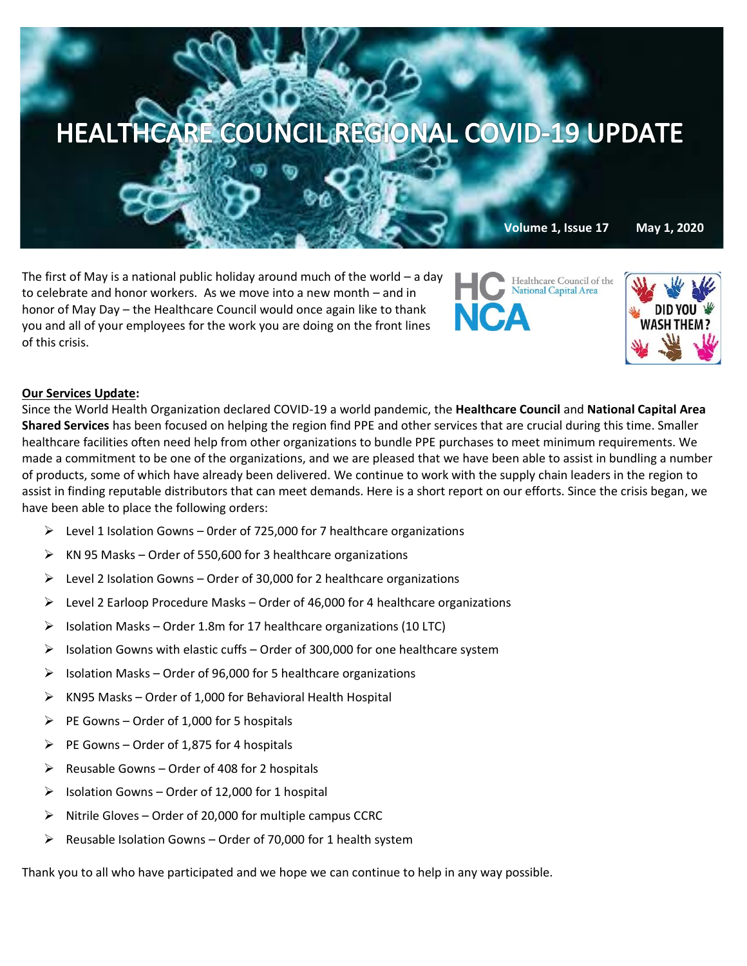

The first of May is a national public holiday around much of the world – a day to celebrate and honor workers. As we move into a new month – and in honor of May Day – the Healthcare Council would once again like to thank you and all of your employees for the work you are doing on the front lines of this crisis.





# **Our Services Update:**

Since the World Health Organization declared COVID-19 a world pandemic, the **Healthcare Council** and **National Capital Area Shared Services** has been focused on helping the region find PPE and other services that are crucial during this time. Smaller healthcare facilities often need help from other organizations to bundle PPE purchases to meet minimum requirements. We made a commitment to be one of the organizations, and we are pleased that we have been able to assist in bundling a number of products, some of which have already been delivered. We continue to work with the supply chain leaders in the region to assist in finding reputable distributors that can meet demands. Here is a short report on our efforts. Since the crisis began, we have been able to place the following orders:

- $\triangleright$  Level 1 Isolation Gowns 0rder of 725,000 for 7 healthcare organizations
- ➢ KN 95 Masks Order of 550,600 for 3 healthcare organizations
- $\triangleright$  Level 2 Isolation Gowns Order of 30,000 for 2 healthcare organizations
- ➢ Level 2 Earloop Procedure Masks Order of 46,000 for 4 healthcare organizations
- $\triangleright$  Isolation Masks Order 1.8m for 17 healthcare organizations (10 LTC)
- $\triangleright$  Isolation Gowns with elastic cuffs Order of 300,000 for one healthcare system
- $\triangleright$  Isolation Masks Order of 96,000 for 5 healthcare organizations
- $\triangleright$  KN95 Masks Order of 1,000 for Behavioral Health Hospital
- $\triangleright$  PE Gowns Order of 1,000 for 5 hospitals
- $\triangleright$  PE Gowns Order of 1,875 for 4 hospitals
- $\triangleright$  Reusable Gowns Order of 408 for 2 hospitals
- $\triangleright$  Isolation Gowns Order of 12,000 for 1 hospital
- $\triangleright$  Nitrile Gloves Order of 20,000 for multiple campus CCRC
- $\triangleright$  Reusable Isolation Gowns Order of 70,000 for 1 health system

Thank you to all who have participated and we hope we can continue to help in any way possible.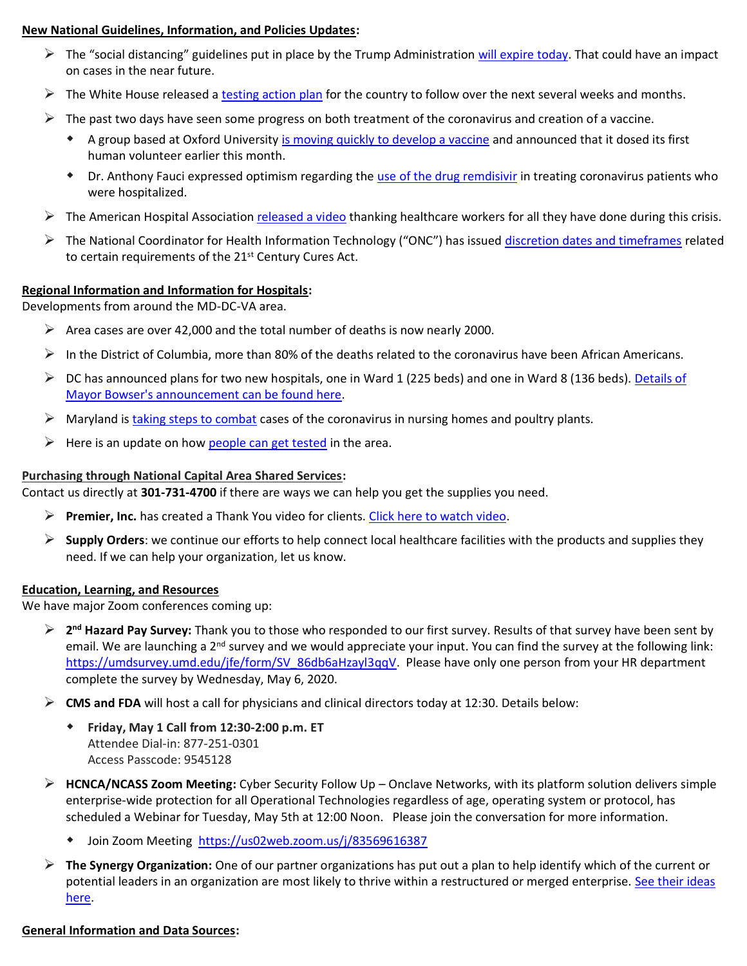# **New National Guidelines, Information, and Policies Updates:**

- $\triangleright$  The "social distancing" guidelines put in place by the Trump Administration [will expire today.](https://apnews.com/712f26cc2040c9a997a256b0b12d313d?mkt_tok=eyJpIjoiWldKbE9HWTVaREF6WVRWaSIsInQiOiJDSCtLVW9XVlZZdkFadmdpSFJBNVRUdWtiaisxV1VHYTRPZmJ6UFZVQ1lncmVkK0ttYkl2OXR5VXZHMm54VEhWYXVid05FUnpoZHd4UnF1aW5MK0RTSDNyTHhNTGFGVHVRRkNGb3hFSTFYV2NcL3ZPVVJXYmpkczFKeUNhdmkzRVEifQ==) That could have an impact on cases in the near future.
- $\triangleright$  The White House released a [testing action plan](https://www.whitehouse.gov/wp-content/uploads/2020/04/Testing-Blueprint.pdf) for the country to follow over the next several weeks and months.
- $\triangleright$  The past two days have seen some progress on both treatment of the coronavirus and creation of a vaccine.
	- A group based at Oxford University [is moving quickly to develop a vaccine](https://www.reuters.com/article/us-health-coronavirus-astrazeneca-oxford/astrazeneca-teams-up-with-oxford-university-to-develop-covid-19-vaccine-idUSKBN22C0UK?mkt_tok=eyJpIjoiWWprMllUWTJPREV4TnpJNCIsInQiOiJkdENqZ29KQ2J6VDRXc0M5b2lxRUU0a0JTa3djNGpKVlljN0tjY2tCYlZoSWhjVW00eUJQNGd1bldkNGVXczRjM094VjdwWEE0TDZXOEtac1c0dzFjOElsZUZLb3d5YXFocjJub3pxRnB5TmNSRE02SHlQdHpLMDNpR1Q0S3l6bCJ9) and announced that it dosed its first human volunteer earlier this month.
	- Dr. Anthony Fauci expressed optimism regarding the [use of the drug remdisivir](https://www.forbes.com/sites/lisettevoytko/2020/04/30/report-fauci-revealed-remdesivir-trial-results-to-get-ahead-of-leaks/#21434fad2473) in treating coronavirus patients who were hospitalized.
- $\triangleright$  The American Hospital Association [released a video](https://trustees.aha.org/aha-video-pays-tribute-health-care-heroes?utm_source=newsletter&utm_medium=email&utm_term=insights&utm_content=072018&utm_campaign=trustee-_insights) thanking healthcare workers for all they have done during this crisis.
- $\triangleright$  The National Coordinator for Health Information Technology ("ONC") has issued [discretion dates and timeframes](https://www.healthit.gov/cures/sites/default/files/cures/2020-04/Enforcement_Discretion.pdf?utm_source=Main+Distribution+List&utm_campaign=6d2ae32f43-COVID-19&utm_medium=email&utm_term=0_4995634420-6d2ae32f43-100322673&mc_cid=6d2ae32f43&mc_eid=a56dbb443d) related to certain requirements of the 21<sup>st</sup> Century Cures Act.

## **Regional Information and Information for Hospitals:**

Developments from around the MD-DC-VA area.

- $\triangleright$  Area cases are over 42,000 and the total number of deaths is now nearly 2000.
- $\triangleright$  In the District of Columbia, more than 80% of the deaths related to the coronavirus have been African Americans.
- $\triangleright$  DC has announced plans for two new hospitals, one in Ward 1 (225 beds) and one in Ward 8 (136 beds). Details of [Mayor Bowser's announcement can be found here.](https://www.nbcwashington.com/news/health/dc-announces-plans-for-2-new-hospitals-in-wards-1-and-8/2288992/)
- $\triangleright$  Maryland i[s taking steps to combat](https://www.bizjournals.com/washington/news/2020/04/29/maryland-takes-steps-to-combat-covid-19-outbreaks.html?ana=e_me_set1&j=90506220&t=Morning&mkt_tok=eyJpIjoiWWpZeU56TXpaamszTVRNdyIsInQiOiJyNlpYOE05THA4TUtUOGNCUlU1Q0tUXC9CbGR2UDVwV0xEczhrTUdEU09pdXhsektsMUtzNktNUG9uR0xhV1IxQlBwZzJcL2pIV3pGMFwvWjBacWFvY2VNXC85MDZEbkNZSzd0VVBDOFJCSlp2XC9oOUJ2NUJoeEhaeE9sT3VcL1lLaENtMHNRa0V4Q2dweUtCblBXTkFOMkVRUHc9PSJ9) cases of the coronavirus in nursing homes and poultry plants.
- $\triangleright$  Here is an update on how [people can](https://www.washingtonpost.com/local/getting-tested-for-coronavirus-in-virginia-maryland-dc/2020/03/26/5e19f608-6de9-11ea-a3ec-70d7479d83f0_story.html) get tested in the area.

## **Purchasing through National Capital Area Shared Services:**

Contact us directly at **301-731-4700** if there are ways we can help you get the supplies you need.

- ➢ **Premier, Inc.** has created a Thank You video for clients[. Click here to watch video.](https://www.premierinc.com/newsroom/covid-19/premier-says-thank-you)
- ➢ **Supply Orders**: we continue our efforts to help connect local healthcare facilities with the products and supplies they need. If we can help your organization, let us know.

### **Education, Learning, and Resources**

We have major Zoom conferences coming up:

- ➢ **2 nd Hazard Pay Survey:** Thank you to those who responded to our first survey. Results of that survey have been sent by email. We are launching a 2<sup>nd</sup> survey and we would appreciate your input. You can find the survey at the following link: [https://umdsurvey.umd.edu/jfe/form/SV\\_86db6aHzayl3qqV.](https://umdsurvey.umd.edu/jfe/form/SV_86db6aHzayl3qqV) Please have only one person from your HR department complete the survey by Wednesday, May 6, 2020.
- ➢ **CMS and FDA** will host a call for physicians and clinical directors today at 12:30. Details below:
	- **Friday, May 1 Call from 12:30-2:00 p.m. ET** Attendee Dial-in: 877-251-0301 Access Passcode: 9545128
- ➢ **HCNCA/NCASS Zoom Meeting:** Cyber Security Follow Up Onclave Networks, with its platform solution delivers simple enterprise-wide protection for all Operational Technologies regardless of age, operating system or protocol, has scheduled a Webinar for Tuesday, May 5th at 12:00 Noon. Please join the conversation for more information.
	- Join Zoom Meeting<https://us02web.zoom.us/j/83569616387>
- ➢ **The Synergy Organization:** One of our partner organizations has put out a plan to help identify which of the current or potential leaders in an organization are most likely to thrive within a restructured or merged enterprise. [See their ideas](https://synergyorg.com/evidence-based-executive-assessment/#a6)  [here.](https://synergyorg.com/evidence-based-executive-assessment/#a6)

### **General Information and Data Sources:**